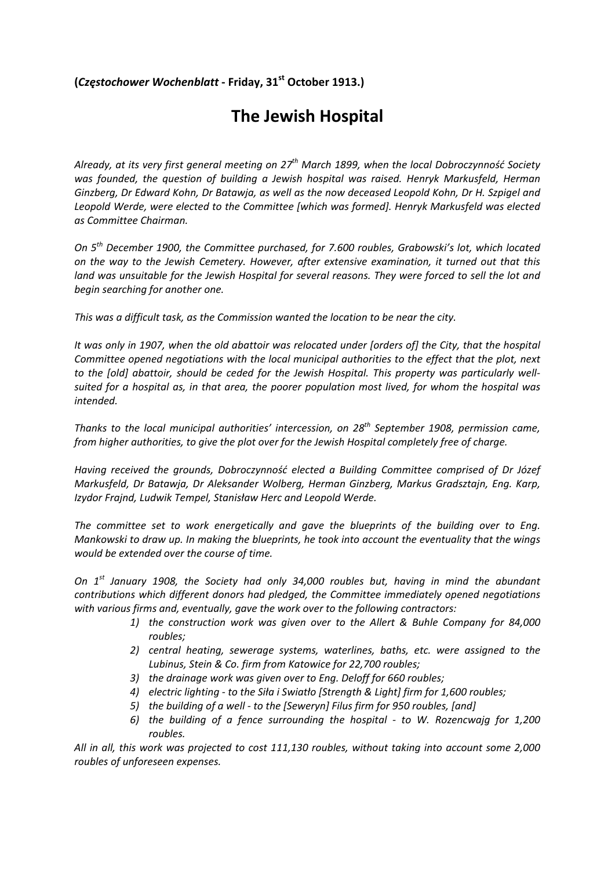## **(***Częstochower Wochenblatt* **‐ Friday, 31st October 1913.)**

## **The Jewish Hospital**

Already, at its very first general meeting on  $27<sup>th</sup>$  March 1899, when the local Dobroczynność Society *was founded, the question of building a Jewish hospital was raised. Henryk Markusfeld, Herman Ginzberg, Dr Edward Kohn, Dr Batawja, as well as the now deceased Leopold Kohn, Dr H. Szpigel and Leopold Werde, were elected to the Committee [which was formed]. Henryk Markusfeld was elected as Committee Chairman.*

*On 5th December 1900, the Committee purchased, for 7.600 roubles, Grabowski's lot, which located on the way to the Jewish Cemetery. However, after extensive examination, it turned out that this* land was unsuitable for the Jewish Hospital for several reasons. They were forced to sell the lot and *begin searching for another one.* 

*This was a difficult task, as the Commission wanted the location to be near the city.* 

It was only in 1907, when the old abattoir was relocated under [orders of] the City, that the hospital *Committee opened negotiations with the local municipal authorities to the effect that the plot, next to the [old] abattoir, should be ceded for the Jewish Hospital. This property was particularly well‐* suited for a hospital as, in that area, the poorer population most lived, for whom the hospital was *intended.*

*Thanks to the local municipal authorities' intercession, on 28th September 1908, permission came, from higher authorities, to give the plot over for the Jewish Hospital completely free of charge.*

*Having received the grounds, Dobroczynność elected a Building Committee comprised of Dr Józef Markusfeld, Dr Batawja, Dr Aleksander Wolberg, Herman Ginzberg, Markus Gradsztajn, Eng. Karp, Izydor Frajnd, Ludwik Tempel, Stanisław Herc and Leopold Werde.*

*The committee set to work energetically and gave the blueprints of the building over to Eng. Mankowski to draw up. In making the blueprints, he took into account the eventuality that the wings would be extended over the course of time.*

*On 1st January 1908, the Society had only 34,000 roubles but, having in mind the abundant contributions which different donors had pledged, the Committee immediately opened negotiations with various firms and, eventually, gave the work over to the following contractors:* 

- *1) the construction work was given over to the Allert & Buhle Company for 84,000 roubles;*
- *2) central heating, sewerage systems, waterlines, baths, etc. were assigned to the Lubinus, Stein & Co. firm from Katowice for 22,700 roubles;*
- *3) the drainage work was given over to Eng. Deloff for 660 roubles;*
- 4) electric lighting to the Siła i Swiatło [Strength & Light] firm for 1,600 roubles;
- *5) the building of a well ‐ to the [Seweryn] Filus firm for 950 roubles, [and]*
- *6) the building of a fence surrounding the hospital ‐ to W. Rozencwajg for 1,200 roubles.*

*All in all, this work was projected to cost 111,130 roubles, without taking into account some 2,000 roubles of unforeseen expenses.*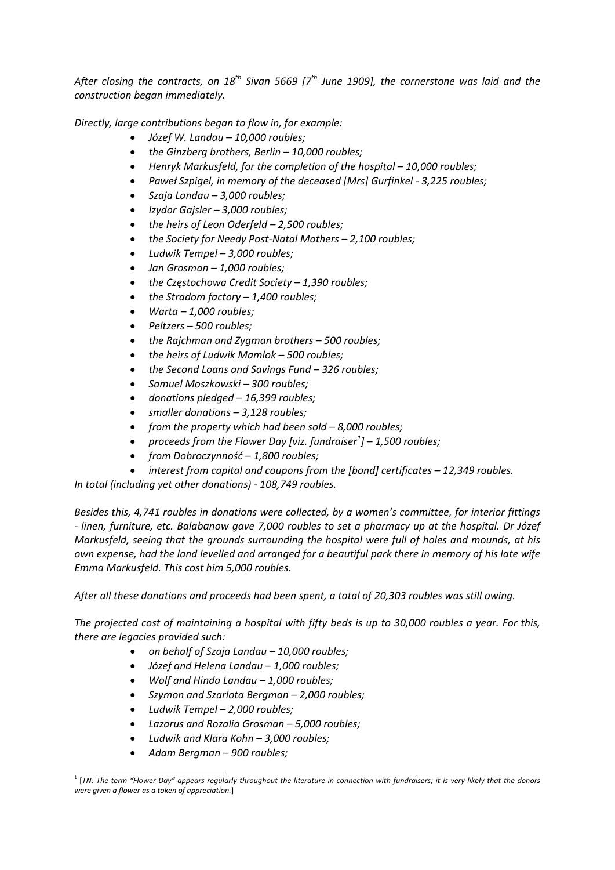After closing the contracts, on  $18^{th}$  Sivan 5669 [ $7^{th}$  June 1909], the cornerstone was laid and the *construction began immediately.* 

*Directly, large contributions began to flow in, for example:* 

- *Józef W. Landau – 10,000 roubles;*
- *the Ginzberg brothers, Berlin – 10,000 roubles;*
- *Henryk Markusfeld, for the completion of the hospital – 10,000 roubles;*
- *Paweł Szpigel, in memory of the deceased [Mrs] Gurfinkel ‐ 3,225 roubles;*
- *Szaja Landau – 3,000 roubles;*
- *Izydor Gajsler – 3,000 roubles;*
- *the heirs of Leon Oderfeld – 2,500 roubles;*
- *the Society for Needy Post‐Natal Mothers – 2,100 roubles;*
- *Ludwik Tempel – 3,000 roubles;*
- *Jan Grosman – 1,000 roubles;*
- *the Częstochowa Credit Society – 1,390 roubles;*
- *the Stradom factory – 1,400 roubles;*
- *Warta – 1,000 roubles;*
- *Peltzers – 500 roubles;*
- *the Rajchman and Zygman brothers – 500 roubles;*
- *the heirs of Ludwik Mamlok – 500 roubles;*
- *the Second Loans and Savings Fund – 326 roubles;*
- *Samuel Moszkowski – 300 roubles;*
- *donations pledged – 16,399 roubles;*
- *smaller donations – 3,128 roubles;*
- *from the property which had been sold – 8,000 roubles;*
- *proceeds from the Flower Day [viz. fundraiser<sup>1</sup> ] – 1,500 roubles;*
- *from Dobroczynność – 1,800 roubles;*
- *interest from capital and coupons from the [bond] certificates – 12,349 roubles.*

*In total (including yet other donations) ‐ 108,749 roubles.* 

*Besides this, 4,741 roubles in donations were collected, by a women's committee, for interior fittings* - linen, furniture, etc. Balabanow gave 7,000 roubles to set a pharmacy up at the hospital. Dr Józef *Markusfeld, seeing that the grounds surrounding the hospital were full of holes and mounds, at his* own expense, had the land levelled and arranged for a beautiful park there in memory of his late wife *Emma Markusfeld. This cost him 5,000 roubles.* 

*After all these donations and proceeds had been spent, a total of 20,303 roubles was still owing.*

The projected cost of maintaining a hospital with fifty beds is up to 30,000 roubles a year. For this, *there are legacies provided such:* 

- *on behalf of Szaja Landau – 10,000 roubles;*
- *Józef and Helena Landau – 1,000 roubles;*
- *Wolf and Hinda Landau – 1,000 roubles;*
- *Szymon and Szarlota Bergman – 2,000 roubles;*
- *Ludwik Tempel – 2,000 roubles;*
- *Lazarus and Rozalia Grosman – 5,000 roubles;*
- *Ludwik and Klara Kohn – 3,000 roubles;*
- *Adam Bergman – 900 roubles;*

<u> 1989 - Johann Stein, marwolaethau a bhann an t-Albann an t-Albann an t-Albann an t-Albann an t-Albann an t-Alb</u>

 $^1$  [TN: The term "Flower Day" appears regularly throughout the literature in connection with fundraisers; it is very likely that the donors *were given a flower as a token of appreciation.*]